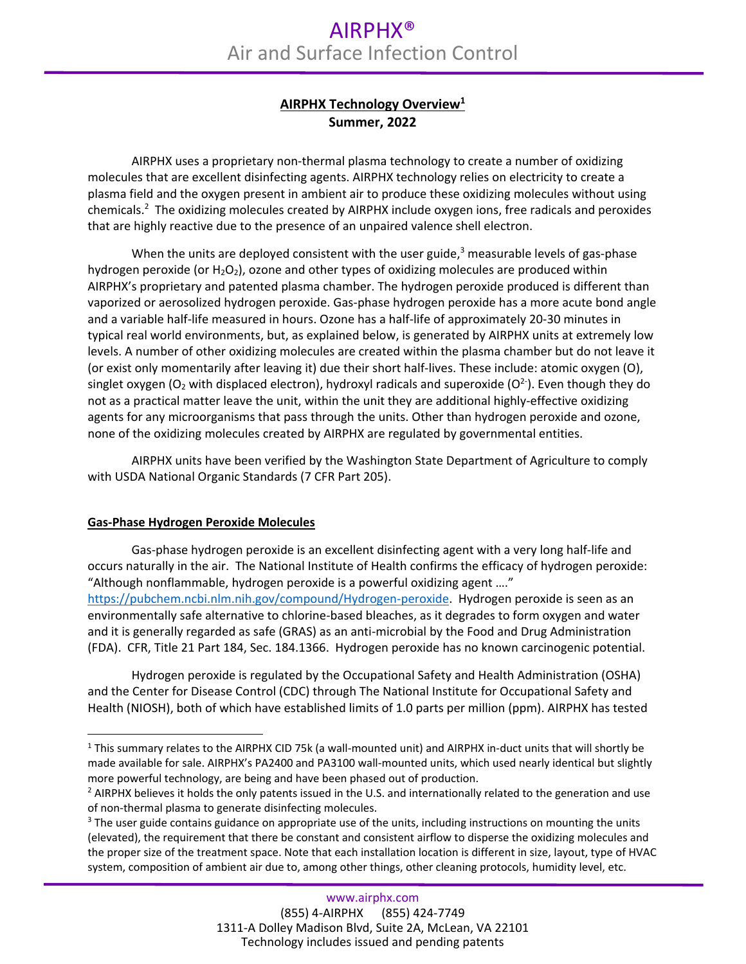## **AIRPHX Technology Overview1 Summer, 2022**

AIRPHX uses a proprietary non‐thermal plasma technology to create a number of oxidizing molecules that are excellent disinfecting agents. AIRPHX technology relies on electricity to create a plasma field and the oxygen present in ambient air to produce these oxidizing molecules without using chemicals.2 The oxidizing molecules created by AIRPHX include oxygen ions, free radicals and peroxides that are highly reactive due to the presence of an unpaired valence shell electron.

When the units are deployed consistent with the user guide, $3$  measurable levels of gas-phase hydrogen peroxide (or  $H_2O_2$ ), ozone and other types of oxidizing molecules are produced within AIRPHX's proprietary and patented plasma chamber. The hydrogen peroxide produced is different than vaporized or aerosolized hydrogen peroxide. Gas‐phase hydrogen peroxide has a more acute bond angle and a variable half‐life measured in hours. Ozone has a half‐life of approximately 20‐30 minutes in typical real world environments, but, as explained below, is generated by AIRPHX units at extremely low levels. A number of other oxidizing molecules are created within the plasma chamber but do not leave it (or exist only momentarily after leaving it) due their short half‐lives. These include: atomic oxygen (O), singlet oxygen (O<sub>2</sub> with displaced electron), hydroxyl radicals and superoxide (O<sup>2-</sup>). Even though they do not as a practical matter leave the unit, within the unit they are additional highly‐effective oxidizing agents for any microorganisms that pass through the units. Other than hydrogen peroxide and ozone, none of the oxidizing molecules created by AIRPHX are regulated by governmental entities.

AIRPHX units have been verified by the Washington State Department of Agriculture to comply with USDA National Organic Standards (7 CFR Part 205).

## **Gas‐Phase Hydrogen Peroxide Molecules**

j

Gas‐phase hydrogen peroxide is an excellent disinfecting agent with a very long half‐life and occurs naturally in the air. The National Institute of Health confirms the efficacy of hydrogen peroxide: "Although nonflammable, hydrogen peroxide is a powerful oxidizing agent …." https://pubchem.ncbi.nlm.nih.gov/compound/Hydrogen‐peroxide. Hydrogen peroxide is seen as an environmentally safe alternative to chlorine‐based bleaches, as it degrades to form oxygen and water and it is generally regarded as safe (GRAS) as an anti‐microbial by the Food and Drug Administration (FDA). CFR, Title 21 Part 184, Sec. 184.1366. Hydrogen peroxide has no known carcinogenic potential.

Hydrogen peroxide is regulated by the Occupational Safety and Health Administration (OSHA) and the Center for Disease Control (CDC) through The National Institute for Occupational Safety and Health (NIOSH), both of which have established limits of 1.0 parts per million (ppm). AIRPHX has tested

<sup>&</sup>lt;sup>1</sup> This summary relates to the AIRPHX CID 75k (a wall-mounted unit) and AIRPHX in-duct units that will shortly be made available for sale. AIRPHX's PA2400 and PA3100 wall-mounted units, which used nearly identical but slightly more powerful technology, are being and have been phased out of production.

<sup>&</sup>lt;sup>2</sup> AIRPHX believes it holds the only patents issued in the U.S. and internationally related to the generation and use of non-thermal plasma to generate disinfecting molecules.

<sup>&</sup>lt;sup>3</sup> The user guide contains guidance on appropriate use of the units, including instructions on mounting the units (elevated), the requirement that there be constant and consistent airflow to disperse the oxidizing molecules and the proper size of the treatment space. Note that each installation location is different in size, layout, type of HVAC system, composition of ambient air due to, among other things, other cleaning protocols, humidity level, etc.